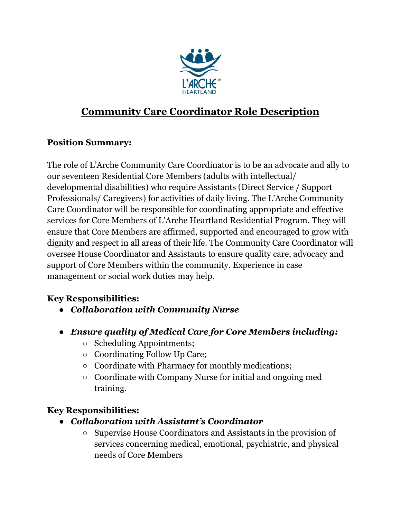

# **Community Care Coordinator Role Description**

### **Position Summary:**

The role of L'Arche Community Care Coordinator is to be an advocate and ally to our seventeen Residential Core Members (adults with intellectual/ developmental disabilities) who require Assistants (Direct Service / Support Professionals/ Caregivers) for activities of daily living. The L'Arche Community Care Coordinator will be responsible for coordinating appropriate and effective services for Core Members of L'Arche Heartland Residential Program. They will ensure that Core Members are affirmed, supported and encouraged to grow with dignity and respect in all areas of their life. The Community Care Coordinator will oversee House Coordinator and Assistants to ensure quality care, advocacy and support of Core Members within the community. Experience in case management or social work duties may help.

# **Key Responsibilities:**

- *Collaboration with Community Nurse*
- *Ensure quality of Medical Care for Core Members including:*
	- Scheduling Appointments;
	- Coordinating Follow Up Care;
	- Coordinate with Pharmacy for monthly medications;
	- Coordinate with Company Nurse for initial and ongoing med training.

# **Key Responsibilities:**

- *Collaboration with Assistant's Coordinator* 
	- Supervise House Coordinators and Assistants in the provision of services concerning medical, emotional, psychiatric, and physical needs of Core Members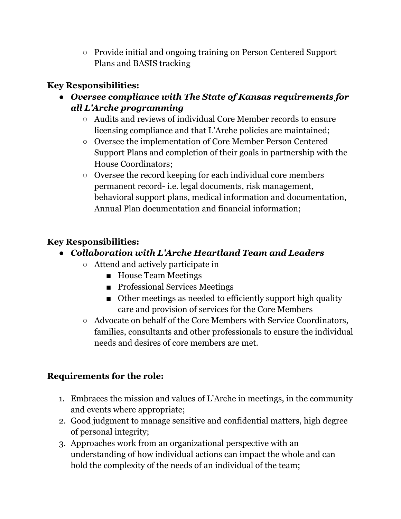○ Provide initial and ongoing training on Person Centered Support Plans and BASIS tracking

### **Key Responsibilities:**

- *Oversee compliance with The State of Kansas requirements for all L'Arche programming* 
	- Audits and reviews of individual Core Member records to ensure licensing compliance and that L'Arche policies are maintained;
	- Oversee the implementation of Core Member Person Centered Support Plans and completion of their goals in partnership with the House Coordinators;
	- Oversee the record keeping for each individual core members permanent record- i.e. legal documents, risk management, behavioral support plans, medical information and documentation, Annual Plan documentation and financial information;

# **Key Responsibilities:**

- *Collaboration with L'Arche Heartland Team and Leaders*
	- Attend and actively participate in
		- House Team Meetings
		- Professional Services Meetings
		- Other meetings as needed to efficiently support high quality care and provision of services for the Core Members
	- Advocate on behalf of the Core Members with Service Coordinators, families, consultants and other professionals to ensure the individual needs and desires of core members are met.

# **Requirements for the role:**

- 1. Embraces the mission and values of L'Arche in meetings, in the community and events where appropriate;
- 2. Good judgment to manage sensitive and confidential matters, high degree of personal integrity;
- 3. Approaches work from an organizational perspective with an understanding of how individual actions can impact the whole and can hold the complexity of the needs of an individual of the team;